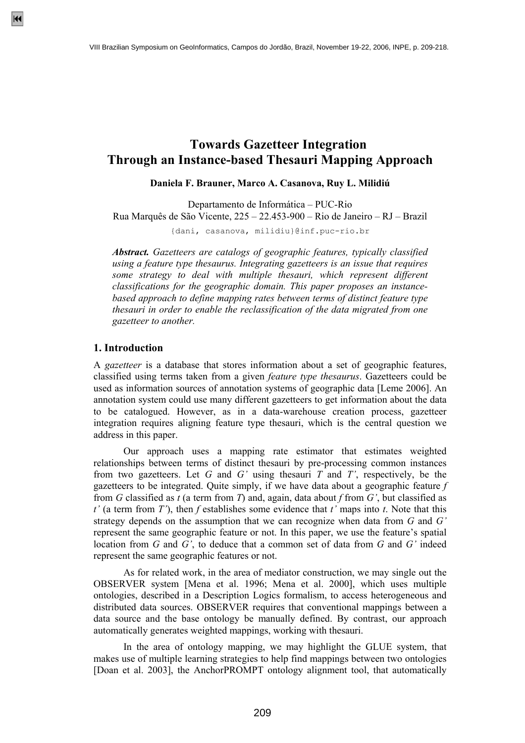# **Towards Gazetteer Integration Through an Instance-based Thesauri Mapping Approach**

**Daniela F. Brauner, Marco A. Casanova, Ruy L. Milidiú** 

Departamento de Informática – PUC-Rio Rua Marquês de São Vicente, 225 – 22.453-900 – Rio de Janeiro – RJ – Brazil

{dani, casanova, milidiu}@inf.puc-rio.br

*Abstract. Gazetteers are catalogs of geographic features, typically classified using a feature type thesaurus. Integrating gazetteers is an issue that requires some strategy to deal with multiple thesauri, which represent different classifications for the geographic domain. This paper proposes an instancebased approach to define mapping rates between terms of distinct feature type thesauri in order to enable the reclassification of the data migrated from one gazetteer to another.* 

#### **1. Introduction**

A *gazetteer* is a database that stores information about a set of geographic features, classified using terms taken from a given *feature type thesaurus*. Gazetteers could be used as information sources of annotation systems of geographic data [Leme 2006]. An annotation system could use many different gazetteers to get information about the data to be catalogued. However, as in a data-warehouse creation process, gazetteer integration requires aligning feature type thesauri, which is the central question we address in this paper.

 Our approach uses a mapping rate estimator that estimates weighted relationships between terms of distinct thesauri by pre-processing common instances from two gazetteers. Let *G* and *G'* using thesauri *T* and *T'*, respectively, be the gazetteers to be integrated. Quite simply, if we have data about a geographic feature *f* from *G* classified as *t* (a term from *T*) and, again, data about *f* from *G'*, but classified as *t'* (a term from *T'*), then *f* establishes some evidence that *t'* maps into *t*. Note that this strategy depends on the assumption that we can recognize when data from *G* and *G'* represent the same geographic feature or not. In this paper, we use the feature's spatial location from *G* and *G'*, to deduce that a common set of data from *G* and *G'* indeed represent the same geographic features or not.

 As for related work, in the area of mediator construction, we may single out the OBSERVER system [Mena et al. 1996; Mena et al. 2000], which uses multiple ontologies, described in a Description Logics formalism, to access heterogeneous and distributed data sources. OBSERVER requires that conventional mappings between a data source and the base ontology be manually defined. By contrast, our approach automatically generates weighted mappings, working with thesauri.

 In the area of ontology mapping, we may highlight the GLUE system, that makes use of multiple learning strategies to help find mappings between two ontologies [Doan et al. 2003], the AnchorPROMPT ontology alignment tool, that automatically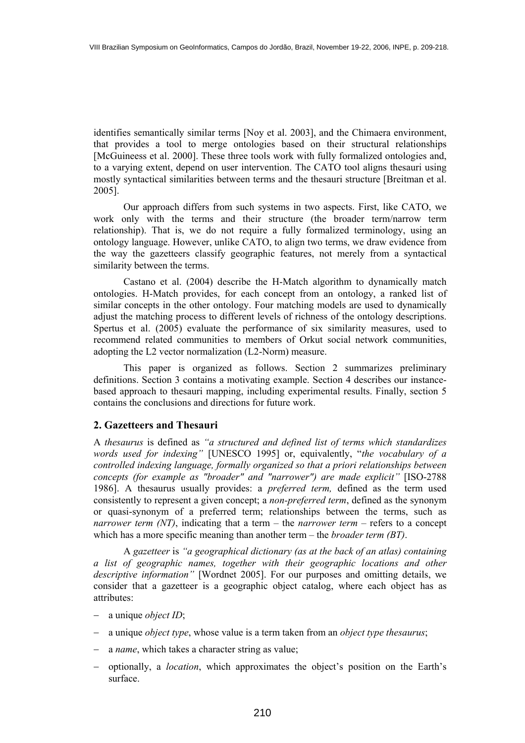identifies semantically similar terms [Noy et al. 2003], and the Chimaera environment, that provides a tool to merge ontologies based on their structural relationships [McGuineess et al. 2000]. These three tools work with fully formalized ontologies and, to a varying extent, depend on user intervention. The CATO tool aligns thesauri using mostly syntactical similarities between terms and the thesauri structure [Breitman et al. 2005].

 Our approach differs from such systems in two aspects. First, like CATO, we work only with the terms and their structure (the broader term/narrow term relationship). That is, we do not require a fully formalized terminology, using an ontology language. However, unlike CATO, to align two terms, we draw evidence from the way the gazetteers classify geographic features, not merely from a syntactical similarity between the terms.

 Castano et al. (2004) describe the H-Match algorithm to dynamically match ontologies. H-Match provides, for each concept from an ontology, a ranked list of similar concepts in the other ontology. Four matching models are used to dynamically adjust the matching process to different levels of richness of the ontology descriptions. Spertus et al. (2005) evaluate the performance of six similarity measures, used to recommend related communities to members of Orkut social network communities, adopting the L2 vector normalization (L2-Norm) measure.

 This paper is organized as follows. Section 2 summarizes preliminary definitions. Section 3 contains a motivating example. Section 4 describes our instancebased approach to thesauri mapping, including experimental results. Finally, section 5 contains the conclusions and directions for future work.

## **2. Gazetteers and Thesauri**

A *thesaurus* is defined as *"a structured and defined list of terms which standardizes words used for indexing"* [UNESCO 1995] or, equivalently, "*the vocabulary of a controlled indexing language, formally organized so that a priori relationships between concepts (for example as "broader" and "narrower") are made explicit"* [ISO-2788 1986]. A thesaurus usually provides: a *preferred term,* defined as the term used consistently to represent a given concept; a *non-preferred term*, defined as the synonym or quasi-synonym of a preferred term; relationships between the terms, such as *narrower term (NT)*, indicating that a term – the *narrower term* – refers to a concept which has a more specific meaning than another term – the *broader term (BT)*.

 A *gazetteer* is *"a geographical dictionary (as at the back of an atlas) containing a list of geographic names, together with their geographic locations and other descriptive information"* [Wordnet 2005]. For our purposes and omitting details, we consider that a gazetteer is a geographic object catalog, where each object has as attributes:

- − a unique *object ID*;
- − a unique *object type*, whose value is a term taken from an *object type thesaurus*;
- − a *name*, which takes a character string as value;
- − optionally, a *location*, which approximates the object's position on the Earth's surface.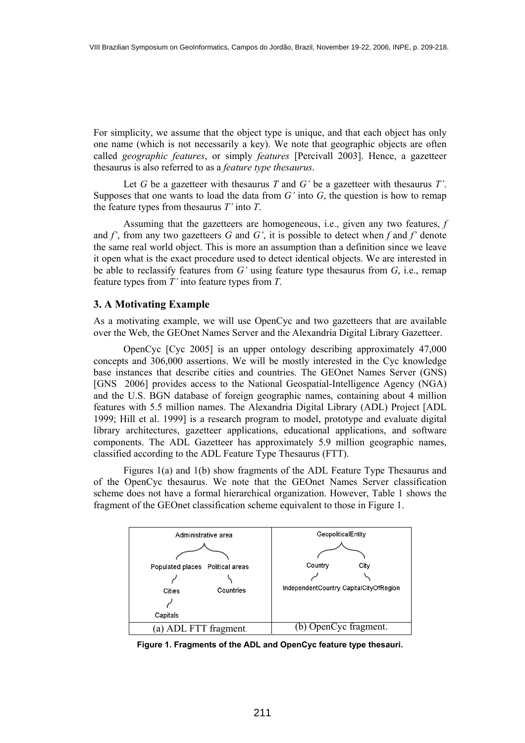For simplicity, we assume that the object type is unique, and that each object has only one name (which is not necessarily a key). We note that geographic objects are often called *geographic features*, or simply *features* [Percivall 2003]. Hence, a gazetteer thesaurus is also referred to as a *feature type thesaurus*.

 Let *G* be a gazetteer with thesaurus *T* and *G'* be a gazetteer with thesaurus *T'*. Supposes that one wants to load the data from *G'* into *G*, the question is how to remap the feature types from thesaurus *T'* into *T*.

 Assuming that the gazetteers are homogeneous, i.e., given any two features, *f* and *f'*, from any two gazetteers *G* and *G'*, it is possible to detect when *f* and *f'* denote the same real world object. This is more an assumption than a definition since we leave it open what is the exact procedure used to detect identical objects. We are interested in be able to reclassify features from *G'* using feature type thesaurus from *G*, i.e., remap feature types from *T'* into feature types from *T*.

## **3. A Motivating Example**

As a motivating example, we will use OpenCyc and two gazetteers that are available over the Web, the GEOnet Names Server and the Alexandria Digital Library Gazetteer.

 OpenCyc [Cyc 2005] is an upper ontology describing approximately 47,000 concepts and 306,000 assertions. We will be mostly interested in the Cyc knowledge base instances that describe cities and countries. The GEOnet Names Server (GNS) [GNS 2006] provides access to the National Geospatial-Intelligence Agency (NGA) and the U.S. BGN database of foreign geographic names, containing about 4 million features with 5.5 million names. The Alexandria Digital Library (ADL) Project [ADL 1999; Hill et al. 1999] is a research program to model, prototype and evaluate digital library architectures, gazetteer applications, educational applications, and software components. The ADL Gazetteer has approximately 5.9 million geographic names, classified according to the ADL Feature Type Thesaurus (FTT).

 Figures 1(a) and 1(b) show fragments of the ADL Feature Type Thesaurus and of the OpenCyc thesaurus. We note that the GEOnet Names Server classification scheme does not have a formal hierarchical organization. However, Table 1 shows the fragment of the GEOnet classification scheme equivalent to those in Figure 1.



**Figure 1. Fragments of the ADL and OpenCyc feature type thesauri.**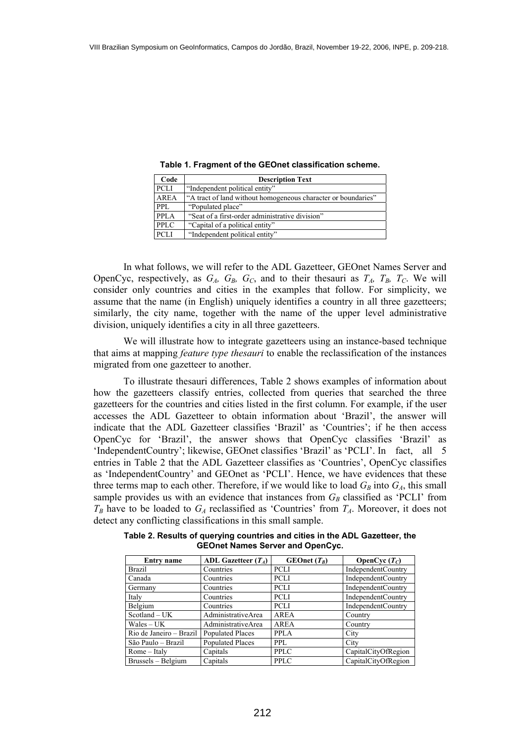| Code        | <b>Description Text</b>                                       |
|-------------|---------------------------------------------------------------|
| PCLI        | "Independent political entity"                                |
| <b>AREA</b> | "A tract of land without homogeneous character or boundaries" |
| PPL.        | "Populated place"                                             |
| PPLA        | "Seat of a first-order administrative division"               |
| <b>PPLC</b> | "Capital of a political entity"                               |
| <b>PCLI</b> | "Independent political entity"                                |

**Table 1. Fragment of the GEOnet classification scheme.** 

 In what follows, we will refer to the ADL Gazetteer, GEOnet Names Server and OpenCyc, respectively, as  $G_A$ ,  $G_B$ ,  $G_C$ , and to their thesauri as  $T_A$ ,  $T_B$ ,  $T_C$ . We will consider only countries and cities in the examples that follow. For simplicity, we assume that the name (in English) uniquely identifies a country in all three gazetteers; similarly, the city name, together with the name of the upper level administrative division, uniquely identifies a city in all three gazetteers.

 We will illustrate how to integrate gazetteers using an instance-based technique that aims at mapping *feature type thesauri* to enable the reclassification of the instances migrated from one gazetteer to another.

 To illustrate thesauri differences, Table 2 shows examples of information about how the gazetteers classify entries, collected from queries that searched the three gazetteers for the countries and cities listed in the first column. For example, if the user accesses the ADL Gazetteer to obtain information about 'Brazil', the answer will indicate that the ADL Gazetteer classifies 'Brazil' as 'Countries'; if he then access OpenCyc for 'Brazil', the answer shows that OpenCyc classifies 'Brazil' as 'IndependentCountry'; likewise, GEOnet classifies 'Brazil' as 'PCLI'. In fact, all 5 entries in Table 2 that the ADL Gazetteer classifies as 'Countries', OpenCyc classifies as 'IndependentCountry' and GEOnet as 'PCLI'. Hence, we have evidences that these three terms map to each other. Therefore, if we would like to load  $G_B$  into  $G_A$ , this small sample provides us with an evidence that instances from  $G_B$  classified as 'PCLI' from  $T_B$  have to be loaded to  $G_A$  reclassified as 'Countries' from  $T_A$ . Moreover, it does not detect any conflicting classifications in this small sample.

**Table 2. Results of querying countries and cities in the ADL Gazetteer, the GEOnet Names Server and OpenCyc.** 

| Entry name              | ADL Gazetteer $(T_A)$   | $GEOnet(T_R)$ | OpenCyc $(T_C)$           |
|-------------------------|-------------------------|---------------|---------------------------|
| <b>Brazil</b>           | Countries               | <b>PCLI</b>   | <b>IndependentCountry</b> |
| Canada                  | Countries               | PCLI          | <b>IndependentCountry</b> |
| Germany                 | Countries               | PCLI          | <b>IndependentCountry</b> |
| Italy                   | Countries               | PCLI          | <b>IndependentCountry</b> |
| Belgium                 | Countries               | PCLI          | <b>IndependentCountry</b> |
| Scotland – UK           | AdministrativeArea      | <b>AREA</b>   | Country                   |
| Wales – UK              | AdministrativeArea      | <b>AREA</b>   | Country                   |
| Rio de Janeiro - Brazil | <b>Populated Places</b> | <b>PPLA</b>   | City                      |
| São Paulo – Brazil      | <b>Populated Places</b> | PPL           | City                      |
| $Rome - Italy$          | Capitals                | <b>PPLC</b>   | CapitalCityOfRegion       |
| Brussels – Belgium      | Capitals                | PPLC          | CapitalCityOfRegion       |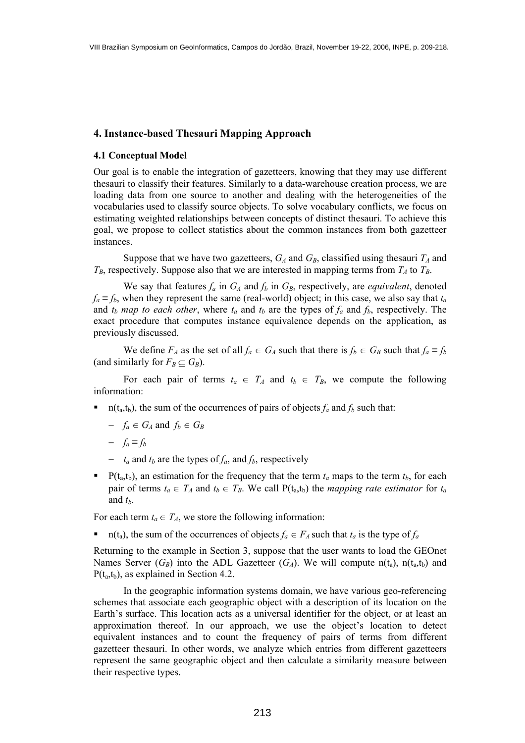## **4. Instance-based Thesauri Mapping Approach**

## **4.1 Conceptual Model**

Our goal is to enable the integration of gazetteers, knowing that they may use different thesauri to classify their features. Similarly to a data-warehouse creation process, we are loading data from one source to another and dealing with the heterogeneities of the vocabularies used to classify source objects. To solve vocabulary conflicts, we focus on estimating weighted relationships between concepts of distinct thesauri. To achieve this goal, we propose to collect statistics about the common instances from both gazetteer instances.

Suppose that we have two gazetteers,  $G_A$  and  $G_B$ , classified using thesauri  $T_A$  and  $T_B$ , respectively. Suppose also that we are interested in mapping terms from  $T_A$  to  $T_B$ .

We say that features  $f_a$  in  $G_A$  and  $f_b$  in  $G_B$ , respectively, are *equivalent*, denoted  $f_a \equiv f_b$ , when they represent the same (real-world) object; in this case, we also say that  $t_a$ and  $t_b$  *map to each other*, where  $t_a$  and  $t_b$  are the types of  $f_a$  and  $f_b$ , respectively. The exact procedure that computes instance equivalence depends on the application, as previously discussed.

We define  $F_A$  as the set of all  $f_a \in G_A$  such that there is  $f_b \in G_B$  such that  $f_a \equiv f_b$ (and similarly for  $F_B \subset G_B$ ).

For each pair of terms  $t_a \in T_A$  and  $t_b \in T_B$ , we compute the following information:

- n(t<sub>a</sub>,t<sub>b</sub>), the sum of the occurrences of pairs of objects  $f_a$  and  $f_b$  such that:
	- $-$  *f<sub>a</sub>* ∈ *G<sub>A</sub>* and *f<sub>b</sub>* ∈ *G<sub>B</sub>*
	- $-\int_a \equiv f_b$
	- − *ta* and *tb* are the types of *fa*, and *fb*, respectively
- P( $t_a$ , $t_b$ ), an estimation for the frequency that the term  $t_a$  maps to the term  $t_b$ , for each pair of terms  $t_a \in T_A$  and  $t_b \in T_B$ . We call  $P(t_a,t_b)$  the *mapping rate estimator* for  $t_a$ and *tb*.

For each term  $t_a \in T_A$ , we store the following information:

n(t<sub>a</sub>), the sum of the occurrences of objects  $f_a \in F_A$  such that  $t_a$  is the type of  $f_a$ 

Returning to the example in Section 3, suppose that the user wants to load the GEOnet Names Server  $(G_B)$  into the ADL Gazetteer  $(G_A)$ . We will compute  $n(t_a)$ ,  $n(t_a,t_b)$  and  $P(t_a,t_b)$ , as explained in Section 4.2.

 In the geographic information systems domain, we have various geo-referencing schemes that associate each geographic object with a description of its location on the Earth's surface. This location acts as a universal identifier for the object, or at least an approximation thereof. In our approach, we use the object's location to detect equivalent instances and to count the frequency of pairs of terms from different gazetteer thesauri. In other words, we analyze which entries from different gazetteers represent the same geographic object and then calculate a similarity measure between their respective types.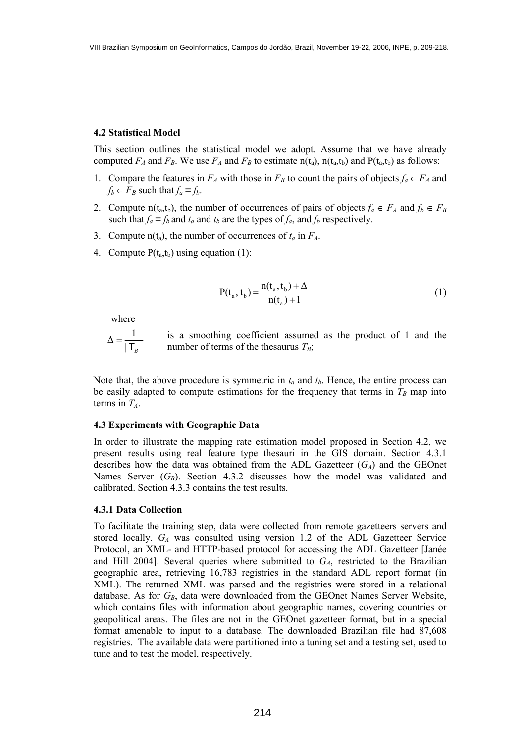#### **4.2 Statistical Model**

This section outlines the statistical model we adopt. Assume that we have already computed  $F_A$  and  $F_B$ . We use  $F_A$  and  $F_B$  to estimate n(t<sub>a</sub>), n(t<sub>a</sub>,t<sub>b</sub>) and P(t<sub>a</sub>,t<sub>b</sub>) as follows:

- 1. Compare the features in  $F_A$  with those in  $F_B$  to count the pairs of objects  $f_a \in F_A$  and  $f_b \in F_B$  such that  $f_a \equiv f_b$ .
- 2. Compute n(t<sub>a</sub>,t<sub>b</sub>), the number of occurrences of pairs of objects  $f_a \in F_A$  and  $f_b \in F_B$ such that  $f_a \equiv f_b$  and  $t_a$  and  $t_b$  are the types of  $f_a$ , and  $f_b$  respectively.
- 3. Compute  $n(t_a)$ , the number of occurrences of  $t_a$  in  $F_A$ .
- 4. Compute  $P(t_a,t_b)$  using equation (1):

$$
P(t_a, t_b) = \frac{n(t_a, t_b) + \Delta}{n(t_a) + 1}
$$
 (1)

where

 $|\mathsf{T}_{\scriptscriptstyle{B}}|$  $\Delta = \frac{1}{1 - \frac{1}{1 - \frac{1}{1}}}\n\Delta$  $\mathsf{T}_\mathit{B}$ =

is a smoothing coefficient assumed as the product of 1 and the number of terms of the thesaurus  $T_B$ ;

Note that, the above procedure is symmetric in  $t_a$  and  $t_b$ . Hence, the entire process can be easily adapted to compute estimations for the frequency that terms in  $T_B$  map into terms in  $T_A$ .

#### **4.3 Experiments with Geographic Data**

In order to illustrate the mapping rate estimation model proposed in Section 4.2, we present results using real feature type thesauri in the GIS domain. Section 4.3.1 describes how the data was obtained from the ADL Gazetteer  $(G_A)$  and the GEOnet Names Server  $(G_B)$ . Section 4.3.2 discusses how the model was validated and calibrated. Section 4.3.3 contains the test results.

#### **4.3.1 Data Collection**

To facilitate the training step, data were collected from remote gazetteers servers and stored locally. *GA* was consulted using version 1.2 of the ADL Gazetteer Service Protocol, an XML- and HTTP-based protocol for accessing the ADL Gazetteer [Janée and Hill 2004]. Several queries where submitted to *GA*, restricted to the Brazilian geographic area, retrieving 16,783 registries in the standard ADL report format (in XML). The returned XML was parsed and the registries were stored in a relational database. As for  $G_B$ , data were downloaded from the GEOnet Names Server Website, which contains files with information about geographic names, covering countries or geopolitical areas. The files are not in the GEOnet gazetteer format, but in a special format amenable to input to a database. The downloaded Brazilian file had 87,608 registries. The available data were partitioned into a tuning set and a testing set, used to tune and to test the model, respectively.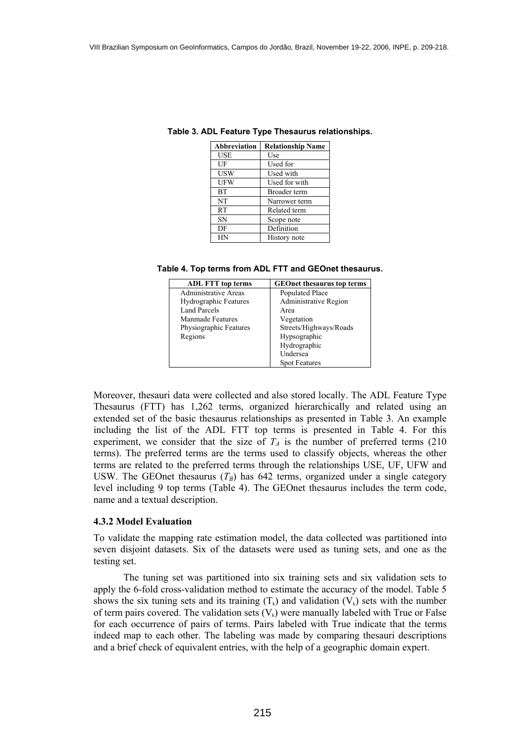| <b>Abbreviation</b> | <b>Relationship Name</b> |
|---------------------|--------------------------|
| USE                 | Use                      |
| UF                  | Used for                 |
| <b>USW</b>          | Used with                |
| <b>UFW</b>          | Used for with            |
| <b>BT</b>           | Broader term             |
| NT                  | Narrower term            |
| RT                  | Related term             |
| <b>SN</b>           | Scope note               |
| DF                  | Definition               |
| НN                  | History note             |

**Table 3. ADL Feature Type Thesaurus relationships.** 

#### **Table 4. Top terms from ADL FTT and GEOnet thesaurus.**

| <b>ADL FTT</b> top terms     | <b>GEOnet thesaurus top terms</b> |
|------------------------------|-----------------------------------|
| Administrative Areas         | Populated Place                   |
| <b>Hydrographic Features</b> | Administrative Region             |
| Land Parcels                 | Area                              |
| Manmade Features             | Vegetation                        |
| Physiographic Features       | Streets/Highways/Roads            |
| Regions                      | Hypsographic                      |
|                              | Hydrographic                      |
|                              | Undersea                          |
|                              | <b>Spot Features</b>              |

Moreover, thesauri data were collected and also stored locally. The ADL Feature Type Thesaurus (FTT) has 1,262 terms, organized hierarchically and related using an extended set of the basic thesaurus relationships as presented in Table 3. An example including the list of the ADL FTT top terms is presented in Table 4. For this experiment, we consider that the size of  $T_A$  is the number of preferred terms (210) terms). The preferred terms are the terms used to classify objects, whereas the other terms are related to the preferred terms through the relationships USE, UF, UFW and USW. The GEOnet thesaurus  $(T_B)$  has 642 terms, organized under a single category level including 9 top terms (Table 4). The GEOnet thesaurus includes the term code, name and a textual description.

#### **4.3.2 Model Evaluation**

To validate the mapping rate estimation model, the data collected was partitioned into seven disjoint datasets. Six of the datasets were used as tuning sets, and one as the testing set.

 The tuning set was partitioned into six training sets and six validation sets to apply the 6-fold cross-validation method to estimate the accuracy of the model. Table 5 shows the six tuning sets and its training  $(T_k)$  and validation  $(V_k)$  sets with the number of term pairs covered. The validation sets  $(V_k)$  were manually labeled with True or False for each occurrence of pairs of terms. Pairs labeled with True indicate that the terms indeed map to each other. The labeling was made by comparing thesauri descriptions and a brief check of equivalent entries, with the help of a geographic domain expert.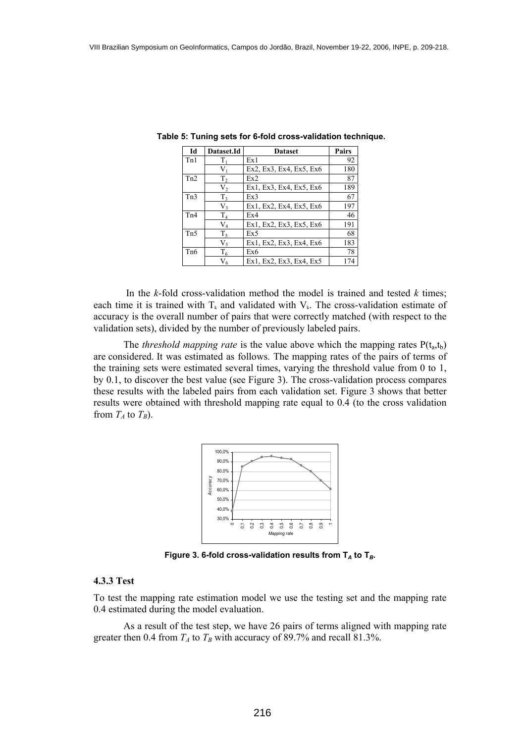| Id               | <b>Dataset.Id</b> | <b>Dataset</b>          | Pairs |
|------------------|-------------------|-------------------------|-------|
| Tn1              | Tı                | Ex1                     | 92    |
|                  | Vı                | Ex2, Ex3, Ex4, Ex5, Ex6 | 180   |
| Tn2              | T <sub>2</sub>    | Ex2                     | 87    |
|                  | V,                | Ex1, Ex3, Ex4, Ex5, Ex6 | 189   |
| Tn3              | T <sub>3</sub>    | Ex3                     | 67    |
|                  | V3                | Ex1, Ex2, Ex4, Ex5, Ex6 | 197   |
| Tn4              | T <sub>4</sub>    | Ex4                     | 46    |
|                  | $\rm V_4$         | Ex1, Ex2, Ex3, Ex5, Ex6 | 191   |
| T <sub>n5</sub>  | $T_5$             | Ex5                     | 68    |
|                  | V,                | Ex1, Ex2, Ex3, Ex4, Ex6 | 183   |
| T <sub>n</sub> 6 | $T_6$             | Ex6                     | 78    |
|                  | $\rm V_6$         | Ex1, Ex2, Ex3, Ex4, Ex5 |       |

 **Table 5: Tuning sets for 6-fold cross-validation technique.** 

 In the *k*-fold cross-validation method the model is trained and tested *k* times; each time it is trained with  $T_k$  and validated with  $V_k$ . The cross-validation estimate of accuracy is the overall number of pairs that were correctly matched (with respect to the validation sets), divided by the number of previously labeled pairs.

The *threshold mapping rate* is the value above which the mapping rates  $P(t_a,t_b)$ are considered. It was estimated as follows. The mapping rates of the pairs of terms of the training sets were estimated several times, varying the threshold value from 0 to 1, by 0.1, to discover the best value (see Figure 3). The cross-validation process compares these results with the labeled pairs from each validation set. Figure 3 shows that better results were obtained with threshold mapping rate equal to 0.4 (to the cross validation from  $T_A$  to  $T_B$ ).



**Figure 3. 6-fold cross-validation results from**  $T_A$  **to**  $T_B$ **.** 

#### **4.3.3 Test**

To test the mapping rate estimation model we use the testing set and the mapping rate 0.4 estimated during the model evaluation.

 As a result of the test step, we have 26 pairs of terms aligned with mapping rate greater then 0.4 from  $T_A$  to  $T_B$  with accuracy of 89.7% and recall 81.3%.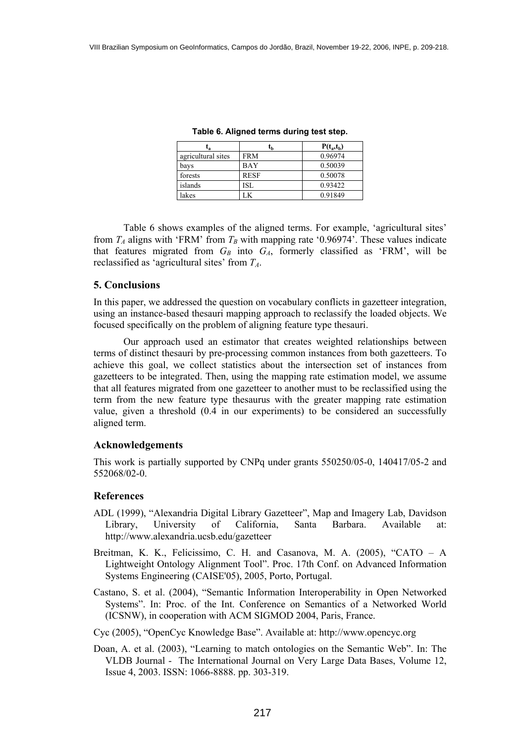| ıя                 | ւթ          | $P(t_a,t_b)$ |
|--------------------|-------------|--------------|
| agricultural sites | <b>FRM</b>  | 0.96974      |
| bays               | <b>BAY</b>  | 0.50039      |
| forests            | <b>RESF</b> | 0.50078      |
| islands            | ISL         | 0.93422      |
| lakes              | K           | 0.91849      |

**Table 6. Aligned terms during test step.** 

 Table 6 shows examples of the aligned terms. For example, 'agricultural sites' from  $T_A$  aligns with 'FRM' from  $T_B$  with mapping rate '0.96974'. These values indicate that features migrated from  $G_B$  into  $G_A$ , formerly classified as 'FRM', will be reclassified as 'agricultural sites' from *TA*.

## **5. Conclusions**

In this paper, we addressed the question on vocabulary conflicts in gazetteer integration, using an instance-based thesauri mapping approach to reclassify the loaded objects. We focused specifically on the problem of aligning feature type thesauri.

 Our approach used an estimator that creates weighted relationships between terms of distinct thesauri by pre-processing common instances from both gazetteers. To achieve this goal, we collect statistics about the intersection set of instances from gazetteers to be integrated. Then, using the mapping rate estimation model, we assume that all features migrated from one gazetteer to another must to be reclassified using the term from the new feature type thesaurus with the greater mapping rate estimation value, given a threshold (0.4 in our experiments) to be considered an successfully aligned term.

## **Acknowledgements**

This work is partially supported by CNPq under grants 550250/05-0, 140417/05-2 and 552068/02-0.

## **References**

- ADL (1999), "Alexandria Digital Library Gazetteer", Map and Imagery Lab, Davidson Library, University of California, Santa Barbara. Available at: http://www.alexandria.ucsb.edu/gazetteer
- Breitman, K. K., Felicissimo, C. H. and Casanova, M. A. (2005), "CATO A Lightweight Ontology Alignment Tool". Proc. 17th Conf. on Advanced Information Systems Engineering (CAISE'05), 2005, Porto, Portugal.
- Castano, S. et al. (2004), "Semantic Information Interoperability in Open Networked Systems". In: Proc. of the Int. Conference on Semantics of a Networked World (ICSNW), in cooperation with ACM SIGMOD 2004, Paris, France.
- Cyc (2005), "OpenCyc Knowledge Base". Available at: http://www.opencyc.org
- Doan, A. et al. (2003), "Learning to match ontologies on the Semantic Web". In: The VLDB Journal - The International Journal on Very Large Data Bases, Volume 12, Issue 4, 2003. ISSN: 1066-8888. pp. 303-319.